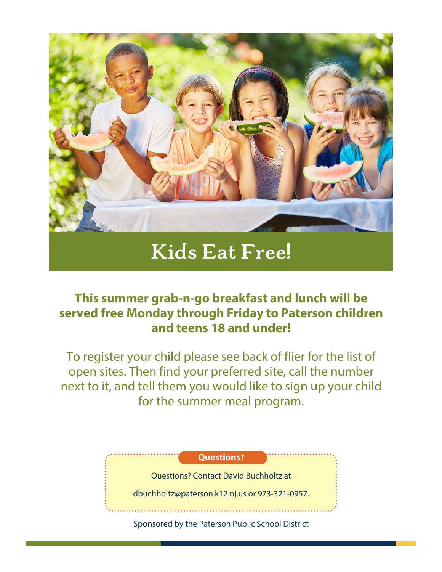

## **Kids Eat Free!**

## **This summer grab-n-go breakfast and lunch will be served free Monday through Friday to Paterson children and teens 18 and under!**

To register your child please see back of flier for the list of open sites. Then find your preferred site, call the number next to it, and tell them you would like to sign up your child for the summer meal program.